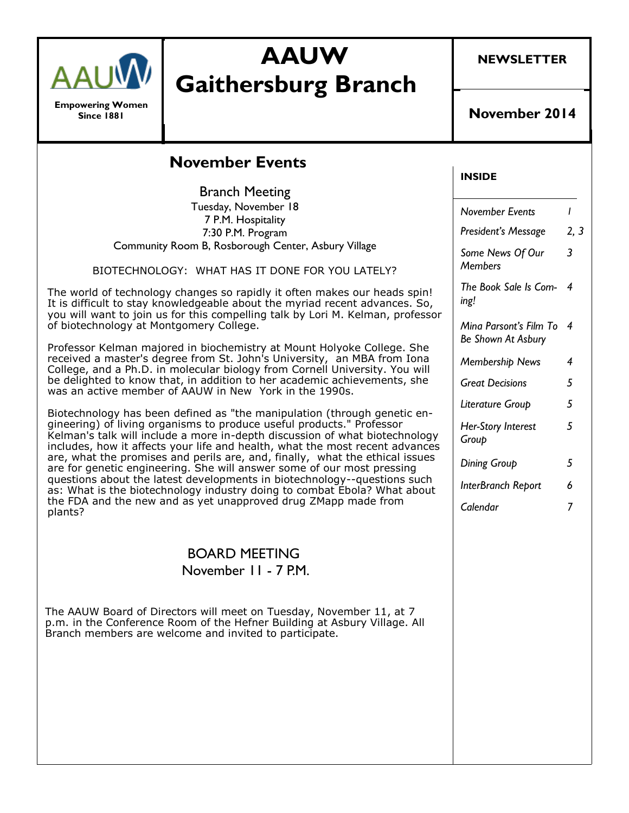

**Empowering Women Since 1881**

# **AAUW Gaithersburg Branch**

**NEWSLETTER**

# **November Events**

Branch Meeting Tuesday, November 18 7 P.M. Hospitality 7:30 P.M. Program Community Room B, Rosborough Center, Asbury Village

BIOTECHNOLOGY: WHAT HAS IT DONE FOR YOU LATELY?

The world of technology changes so rapidly it often makes our heads spin! It is difficult to stay knowledgeable about the myriad recent advances. So, you will want to join us for this compelling talk by Lori M. Kelman, professor of biotechnology at Montgomery College.

Professor Kelman majored in biochemistry at Mount Holyoke College. She received a master's degree from St. John's University, an MBA from Iona College, and a Ph.D. in molecular biology from Cornell University. You will be delighted to know that, in addition to her academic achievements, she was an active member of AAUW in New York in the 1990s.

Biotechnology has been defined as "the manipulation (through genetic engineering) of living organisms to produce useful products." Professor Kelman's talk will include a more in-depth discussion of what biotechnology includes, how it affects your life and health, what the most recent advances are, what the promises and perils are, and, finally, what the ethical issues are for genetic engineering. She will answer some of our most pressing questions about the latest developments in biotechnology--questions such as: What is the biotechnology industry doing to combat Ebola? What about the FDA and the new and as yet unapproved drug ZMapp made from plants?

## BOARD MEETING November 11 - 7 P.M.

The AAUW Board of Directors will meet on Tuesday, November 11, at 7 p.m. in the Conference Room of the Hefner Building at Asbury Village. All Branch members are welcome and invited to participate.

## **INSIDE**

| November Events                              | ı    |
|----------------------------------------------|------|
| President's Message                          | 2, 3 |
| Some News Of Our<br>Members                  | 3    |
| The Book Sale Is Com-<br>ing!                | 4    |
| Mina Parsont's Film To<br>Be Shown At Asbury | 4    |
| <b>Membership News</b>                       | 4    |
| <b>Great Decisions</b>                       | 5    |
| Literature Group                             | 5    |
| Her-Story Interest<br>Group                  | 5    |
| Dining Group                                 | 5    |
| InterBranch Report                           | 6    |
| Calendar                                     | 7    |
|                                              |      |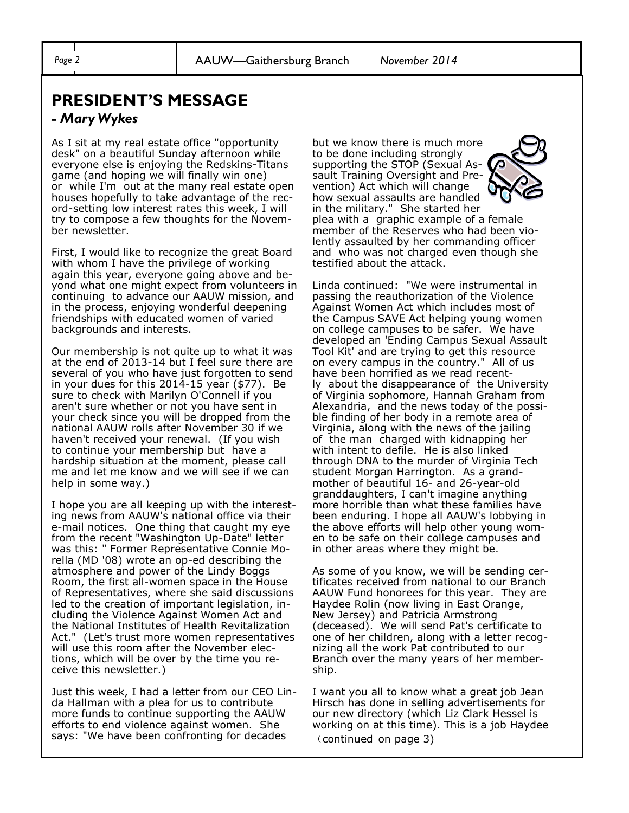# **PRESIDENT'S MESSAGE**

## *- Mary Wykes*

As I sit at my real estate office "opportunity desk" on a beautiful Sunday afternoon while everyone else is enjoying the Redskins-Titans game (and hoping we will finally win one) or while I'm out at the many real estate open houses hopefully to take advantage of the record-setting low interest rates this week, I will try to compose a few thoughts for the November newsletter.

First, I would like to recognize the great Board with whom I have the privilege of working again this year, everyone going above and beyond what one might expect from volunteers in continuing to advance our AAUW mission, and in the process, enjoying wonderful deepening friendships with educated women of varied backgrounds and interests.

Our membership is not quite up to what it was at the end of 2013-14 but I feel sure there are several of you who have just forgotten to send in your dues for this 2014-15 year (\$77). Be sure to check with Marilyn O'Connell if you aren't sure whether or not you have sent in your check since you will be dropped from the national AAUW rolls after November 30 if we haven't received your renewal. (If you wish to continue your membership but have a hardship situation at the moment, please call me and let me know and we will see if we can help in some way.)

I hope you are all keeping up with the interesting news from AAUW's national office via their e-mail notices. One thing that caught my eye from the recent "Washington Up-Date" letter was this: " Former Representative Connie Morella (MD '08) wrote an op-ed describing the atmosphere and power of the Lindy Boggs Room, the first all-women space in the House of Representatives, where she said discussions led to the creation of important legislation, including the Violence Against Women Act and the National Institutes of Health Revitalization Act." (Let's trust more women representatives will use this room after the November elections, which will be over by the time you receive this newsletter.)

Just this week, I had a letter from our CEO Linda Hallman with a plea for us to contribute more funds to continue supporting the AAUW efforts to end violence against women. She says: "We have been confronting for decades

but we know there is much more to be done including strongly supporting the STOP (Sexual Assault Training Oversight and Prevention) Act which will change how sexual assaults are handled in the military." She started her plea with a graphic example of a female member of the Reserves who had been violently assaulted by her commanding officer and who was not charged even though she testified about the attack.

Linda continued: "We were instrumental in passing the reauthorization of the Violence Against Women Act which includes most of the Campus SAVE Act helping young women on college campuses to be safer. We have developed an 'Ending Campus Sexual Assault Tool Kit' and are trying to get this resource on every campus in the country." All of us have been horrified as we read recently about the disappearance of the University of Virginia sophomore, Hannah Graham from Alexandria, and the news today of the possible finding of her body in a remote area of Virginia, along with the news of the jailing of the man charged with kidnapping her with intent to defile. He is also linked through DNA to the murder of Virginia Tech student Morgan Harrington. As a grandmother of beautiful 16- and 26-year-old granddaughters, I can't imagine anything more horrible than what these families have been enduring. I hope all AAUW's lobbying in the above efforts will help other young women to be safe on their college campuses and in other areas where they might be.

As some of you know, we will be sending certificates received from national to our Branch AAUW Fund honorees for this year. They are Haydee Rolin (now living in East Orange, New Jersey) and Patricia Armstrong (deceased). We will send Pat's certificate to one of her children, along with a letter recognizing all the work Pat contributed to our Branch over the many years of her membership.

I want you all to know what a great job Jean Hirsch has done in selling advertisements for our new directory (which Liz Clark Hessel is working on at this time). This is a job Haydee (continued on page 3)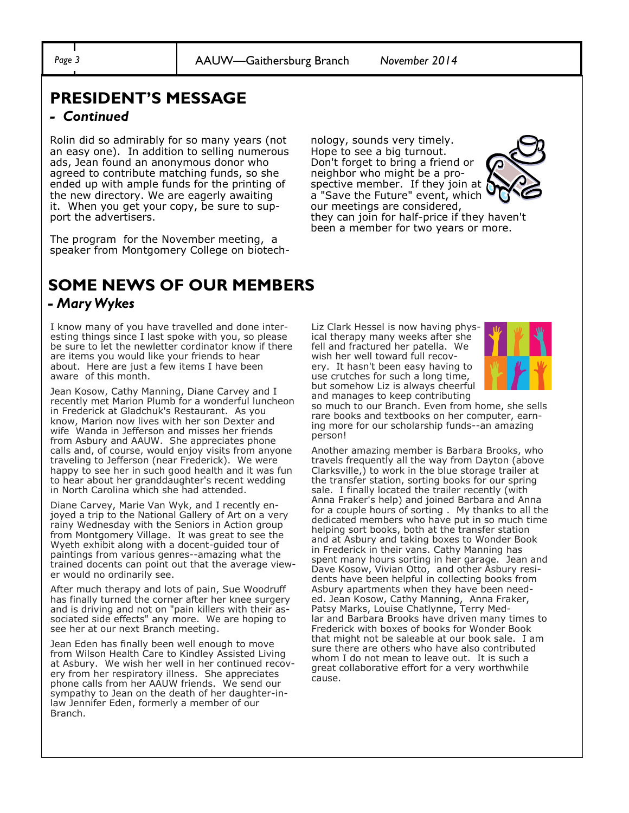*Page 3* AAUW—Gaithersburg Branch *November 2014*

# **PRESIDENT'S MESSAGE**

### *- Continued*

Rolin did so admirably for so many years (not an easy one). In addition to selling numerous ads, Jean found an anonymous donor who agreed to contribute matching funds, so she ended up with ample funds for the printing of the new directory. We are eagerly awaiting it. When you get your copy, be sure to support the advertisers.

The program for the November meeting, a speaker from Montgomery College on biotechnology, sounds very timely. Hope to see a big turnout. Don't forget to bring a friend or neighbor who might be a prospective member. If they join at a "Save the Future" event, which our meetings are considered,



they can join for half-price if they haven't been a member for two years or more.

# **SOME NEWS OF OUR MEMBERS** *- Mary Wykes*

I know many of you have travelled and done interesting things since I last spoke with you, so please be sure to let the newletter cordinator know if there are items you would like your friends to hear about. Here are just a few items I have been aware of this month.

Jean Kosow, Cathy Manning, Diane Carvey and I recently met Marion Plumb for a wonderful luncheon in Frederick at Gladchuk's Restaurant. As you know, Marion now lives with her son Dexter and wife Wanda in Jefferson and misses her friends from Asbury and AAUW. She appreciates phone calls and, of course, would enjoy visits from anyone traveling to Jefferson (near Frederick). We were happy to see her in such good health and it was fun to hear about her granddaughter's recent wedding in North Carolina which she had attended.

Diane Carvey, Marie Van Wyk, and I recently enjoyed a trip to the National Gallery of Art on a very rainy Wednesday with the Seniors in Action group from Montgomery Village. It was great to see the Wyeth exhibit along with a docent-guided tour of paintings from various genres--amazing what the trained docents can point out that the average viewer would no ordinarily see.

After much therapy and lots of pain, Sue Woodruff has finally turned the corner after her knee surgery and is driving and not on "pain killers with their associated side effects" any more. We are hoping to see her at our next Branch meeting.

Jean Eden has finally been well enough to move from Wilson Health Care to Kindley Assisted Living at Asbury. We wish her well in her continued recovery from her respiratory illness. She appreciates phone calls from her AAUW friends. We send our sympathy to Jean on the death of her daughter-inlaw Jennifer Eden, formerly a member of our Branch.

Liz Clark Hessel is now having physical therapy many weeks after she fell and fractured her patella. We wish her well toward full recovery. It hasn't been easy having to use crutches for such a long time, but somehow Liz is always cheerful and manages to keep contributing



so much to our Branch. Even from home, she sells rare books and textbooks on her computer, earning more for our scholarship funds--an amazing person!

Another amazing member is Barbara Brooks, who travels frequently all the way from Dayton (above Clarksville,) to work in the blue storage trailer at the transfer station, sorting books for our spring sale. I finally located the trailer recently (with Anna Fraker's help) and joined Barbara and Anna for a couple hours of sorting . My thanks to all the dedicated members who have put in so much time helping sort books, both at the transfer station and at Asbury and taking boxes to Wonder Book in Frederick in their vans. Cathy Manning has spent many hours sorting in her garage. Jean and Dave Kosow, Vivian Otto, and other Asbury residents have been helpful in collecting books from Asbury apartments when they have been needed. Jean Kosow, Cathy Manning, Anna Fraker, Patsy Marks, Louise Chatlynne, Terry Medlar and Barbara Brooks have driven many times to Frederick with boxes of books for Wonder Book that might not be saleable at our book sale. I am sure there are others who have also contributed whom I do not mean to leave out. It is such a great collaborative effort for a very worthwhile cause.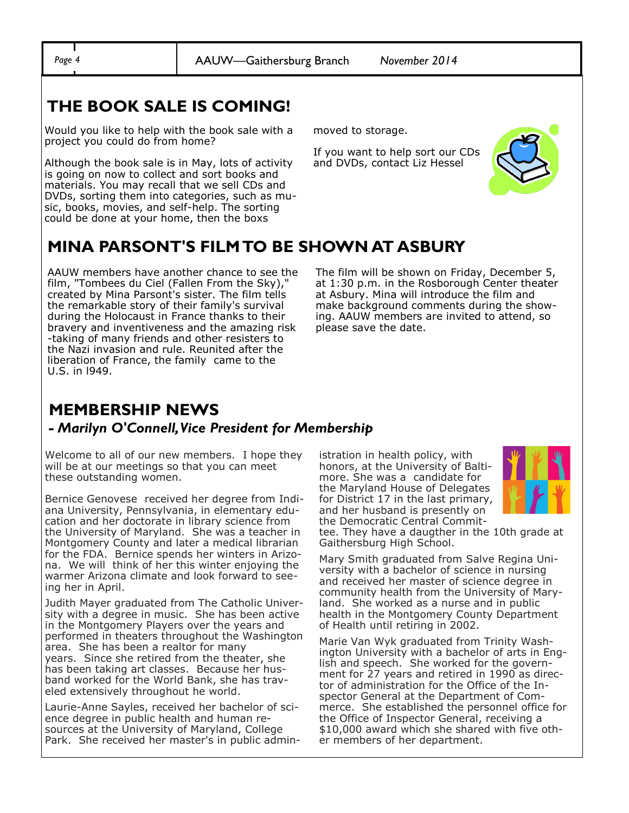*Page 4* AAUW—Gaithersburg Branch *November 2014*

# **THE BOOK SALE IS COMING!**

Would you like to help with the book sale with a project you could do from home?

Although the book sale is in May, lots of activity is going on now to collect and sort books and materials. You may recall that we sell CDs and DVDs, sorting them into categories, such as music, books, movies, and self-help. The sorting could be done at your home, then the boxs

moved to storage.

If you want to help sort our CDs and DVDs, contact Liz Hessel



# **MINA PARSONT'S FILM TO BE SHOWN AT ASBURY**

AAUW members have another chance to see the film, "Tombees du Ciel (Fallen From the Sky),' created by Mina Parsont's sister. The film tells the remarkable story of their family's survival during the Holocaust in France thanks to their bravery and inventiveness and the amazing risk -taking of many friends and other resisters to the Nazi invasion and rule. Reunited after the liberation of France, the family came to the U.S. in l949.

The film will be shown on Friday, December 5, at 1:30 p.m. in the Rosborough Center theater at Asbury. Mina will introduce the film and make background comments during the showing. AAUW members are invited to attend, so please save the date.

# **MEMBERSHIP NEWS** *- Marilyn O'Connell, Vice President for Membership*

Welcome to all of our new members. I hope they will be at our meetings so that you can meet these outstanding women.

Bernice Genovese received her degree from Indiana University, Pennsylvania, in elementary education and her doctorate in library science from the University of Maryland. She was a teacher in Montgomery County and later a medical librarian for the FDA. Bernice spends her winters in Arizona. We will think of her this winter enjoying the warmer Arizona climate and look forward to seeing her in April.

Judith Mayer graduated from The Catholic University with a degree in music. She has been active in the Montgomery Players over the years and performed in theaters throughout the Washington area. She has been a realtor for many years. Since she retired from the theater, she has been taking art classes. Because her husband worked for the World Bank, she has traveled extensively throughout he world.

Laurie-Anne Sayles, received her bachelor of science degree in public health and human resources at the University of Maryland, College Park. She received her master's in public admin-

istration in health policy, with honors, at the University of Baltimore. She was a candidate for the Maryland House of Delegates for District 17 in the last primary, and her husband is presently on the Democratic Central Commit-



tee. They have a daugther in the 10th grade at Gaithersburg High School.

Mary Smith graduated from Salve Regina University with a bachelor of science in nursing and received her master of science degree in community health from the University of Maryland. She worked as a nurse and in public health in the Montgomery County Department of Health until retiring in 2002.

Marie Van Wyk graduated from Trinity Washington University with a bachelor of arts in English and speech. She worked for the government for 27 years and retired in 1990 as director of administration for the Office of the Inspector General at the Department of Commerce. She established the personnel office for the Office of Inspector General, receiving a \$10,000 award which she shared with five other members of her department.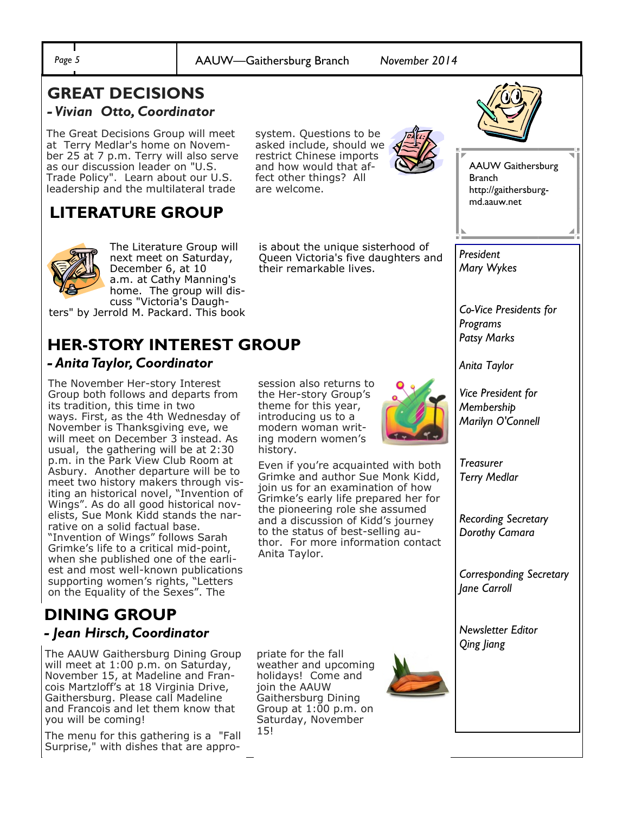*Page 5* AAUW—Gaithersburg Branch *November 2014*

# **GREAT DECISIONS**  *- Vivian Otto, Coordinator*

The Great Decisions Group will meet at Terry Medlar's home on November 25 at 7 p.m. Terry will also serve as our discussion leader on "U.S. Trade Policy". Learn about our U.S. leadership and the multilateral trade

#### asked include, should we restrict Chinese imports and how would that affect other things? All are welcome.

system. Questions to be

their remarkable lives.

is about the unique sisterhood of Queen Victoria's five daughters and



# **LITERATURE GROUP**



The Literature Group will next meet on Saturday, December 6, at 10 a.m. at Cathy Manning's home. The group will discuss "Victoria's Daugh-

ters" by Jerrold M. Packard. This book

## **HER-STORY INTEREST GROUP** *- Anita Taylor, Coordinator*

The November Her-story Interest Group both follows and departs from its tradition, this time in two ways. First, as the 4th Wednesday of November is Thanksgiving eve, we will meet on December 3 instead. As usual, the gathering will be at 2:30 p.m. in the Park View Club Room at Asbury. Another departure will be to meet two history makers through visiting an historical novel, "Invention of Wings". As do all good historical novelists, Sue Monk Kidd stands the narrative on a solid factual base. "Invention of Wings" follows Sarah Grimke's life to a critical mid-point, when she published one of the earliest and most well-known publications supporting women's rights, "Letters on the Equality of the Sexes". The

# **DINING GROUP**  *- Jean Hirsch, Coordinator*

The AAUW Gaithersburg Dining Group will meet at 1:00 p.m. on Saturday, November 15, at Madeline and Francois Martzloff's at 18 Virginia Drive, Gaithersburg. Please call Madeline and Francois and let them know that you will be coming!

The menu for this gathering is a "Fall Surprise," with dishes that are approsession also returns to the Her-story Group's theme for this year, introducing us to a modern woman writing modern women's history.

Even if you're acquainted with both Grimke and author Sue Monk Kidd, join us for an examination of how Grimke's early life prepared her for the pioneering role she assumed and a discussion of Kidd's journey to the status of best-selling author. For more information contact Anita Taylor.





AAUW Gaithersburg Branch http://gaithersburgmd.aauw.net

*President Mary Wykes*

*Co-Vice Presidents for Programs Patsy Marks* 

*Anita Taylor*

*Vice President for Membership Marilyn O'Connell*

*Treasurer Terry Medlar* 

*Recording Secretary Dorothy Camara*

*Corresponding Secretary Jane Carroll* 

*Newsletter Editor Qing Jiang*

priate for the fall weather and upcoming holidays! Come and join the AAUW Gaithersburg Dining Group at 1:00 p.m. on Saturday, November 15!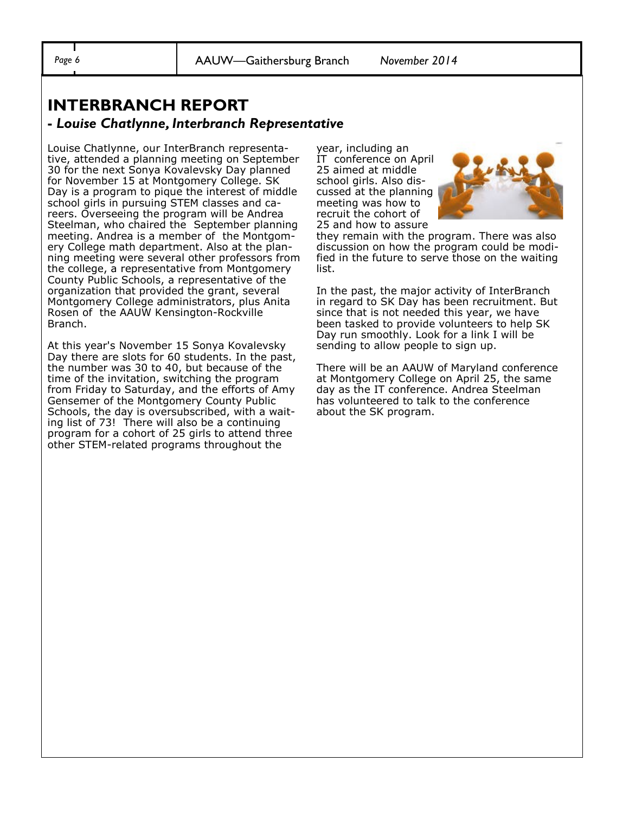*Page 6* AAUW—Gaithersburg Branch *November 2014*

# **INTERBRANCH REPORT -** *Louise Chatlynne, Interbranch Representative*

Louise Chatlynne, our InterBranch representative, attended a planning meeting on September 30 for the next Sonya Kovalevsky Day planned for November 15 at Montgomery College. SK Day is a program to pique the interest of middle school girls in pursuing STEM classes and careers. Overseeing the program will be Andrea Steelman, who chaired the September planning meeting. Andrea is a member of the Montgomery College math department. Also at the planning meeting were several other professors from the college, a representative from Montgomery County Public Schools, a representative of the organization that provided the grant, several Montgomery College administrators, plus Anita Rosen of the AAUW Kensington-Rockville Branch.

At this year's November 15 Sonya Kovalevsky Day there are slots for 60 students. In the past, the number was 30 to 40, but because of the time of the invitation, switching the program from Friday to Saturday, and the efforts of Amy Gensemer of the Montgomery County Public Schools, the day is oversubscribed, with a waiting list of 73! There will also be a continuing program for a cohort of 25 girls to attend three other STEM-related programs throughout the

year, including an IT conference on April 25 aimed at middle school girls. Also discussed at the planning meeting was how to recruit the cohort of 25 and how to assure



they remain with the program. There was also discussion on how the program could be modified in the future to serve those on the waiting list.

In the past, the major activity of InterBranch in regard to SK Day has been recruitment. But since that is not needed this year, we have been tasked to provide volunteers to help SK Day run smoothly. Look for a link I will be sending to allow people to sign up.

There will be an AAUW of Maryland conference at Montgomery College on April 25, the same day as the IT conference. Andrea Steelman has volunteered to talk to the conference about the SK program.